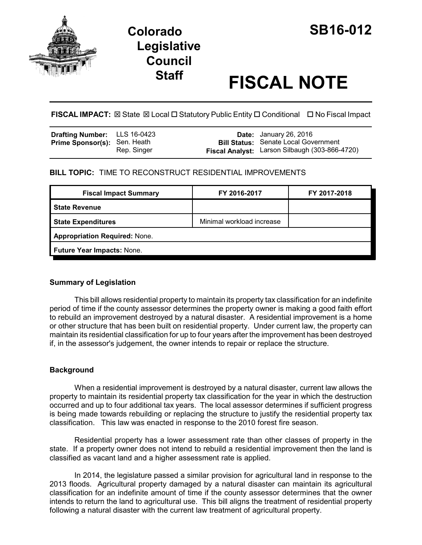

# **Colorado SB16-012 Legislative Council**

# **Staff FISCAL NOTE**

**FISCAL IMPACT:** ⊠ State ⊠ Local □ Statutory Public Entity □ Conditional □ No Fiscal Impact

| <b>Drafting Number:</b> LLS 16-0423 |             | <b>Date:</b> January 26, 2016                  |
|-------------------------------------|-------------|------------------------------------------------|
| <b>Prime Sponsor(s): Sen. Heath</b> |             | <b>Bill Status: Senate Local Government</b>    |
|                                     | Rep. Singer | Fiscal Analyst: Larson Silbaugh (303-866-4720) |

# **BILL TOPIC:** TIME TO RECONSTRUCT RESIDENTIAL IMPROVEMENTS

| FY 2016-2017                         | FY 2017-2018 |  |  |  |
|--------------------------------------|--------------|--|--|--|
|                                      |              |  |  |  |
| Minimal workload increase            |              |  |  |  |
| <b>Appropriation Required: None.</b> |              |  |  |  |
| Future Year Impacts: None.           |              |  |  |  |
|                                      |              |  |  |  |

## **Summary of Legislation**

This bill allows residential property to maintain its property tax classification for an indefinite period of time if the county assessor determines the property owner is making a good faith effort to rebuild an improvement destroyed by a natural disaster. A residential improvement is a home or other structure that has been built on residential property. Under current law, the property can maintain its residential classification for up to four years after the improvement has been destroyed if, in the assessor's judgement, the owner intends to repair or replace the structure.

## **Background**

When a residential improvement is destroyed by a natural disaster, current law allows the property to maintain its residential property tax classification for the year in which the destruction occurred and up to four additional tax years. The local assessor determines if sufficient progress is being made towards rebuilding or replacing the structure to justify the residential property tax classification. This law was enacted in response to the 2010 forest fire season.

Residential property has a lower assessment rate than other classes of property in the state. If a property owner does not intend to rebuild a residential improvement then the land is classified as vacant land and a higher assessment rate is applied.

In 2014, the legislature passed a similar provision for agricultural land in response to the 2013 floods. Agricultural property damaged by a natural disaster can maintain its agricultural classification for an indefinite amount of time if the county assessor determines that the owner intends to return the land to agricultural use. This bill aligns the treatment of residential property following a natural disaster with the current law treatment of agricultural property.